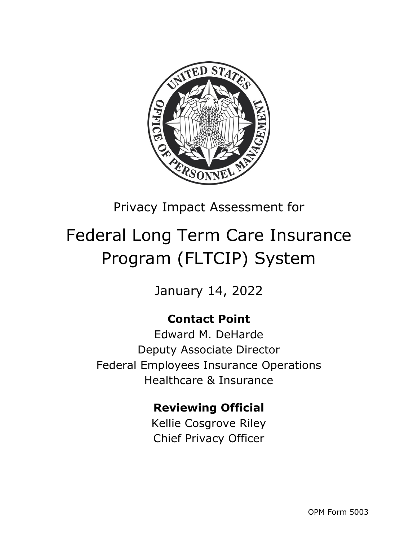

## Privacy Impact Assessment for

# Federal Long Term Care Insurance Program (FLTCIP) System

January 14, 2022

### **Contact Point**

Edward M. DeHarde Deputy Associate Director Federal Employees Insurance Operations Healthcare & Insurance

### **Reviewing Official**

Kellie Cosgrove Riley Chief Privacy Officer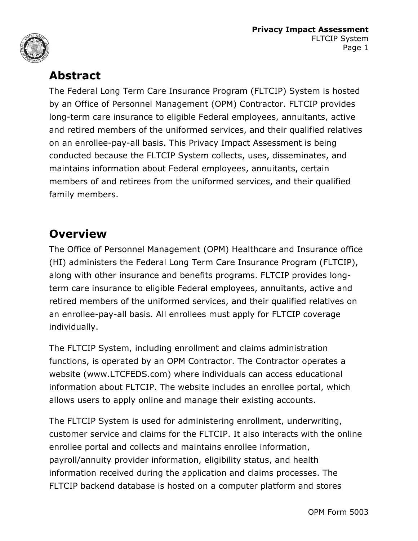



### **Abstract**

The Federal Long Term Care Insurance Program (FLTCIP) System is hosted by an Office of Personnel Management (OPM) Contractor. FLTCIP provides long-term care insurance to eligible Federal employees, annuitants, active and retired members of the uniformed services, and their qualified relatives on an enrollee-pay-all basis. This Privacy Impact Assessment is being conducted because the FLTCIP System collects, uses, disseminates, and maintains information about Federal employees, annuitants, certain members of and retirees from the uniformed services, and their qualified family members.

### **Overview**

The Office of Personnel Management (OPM) Healthcare and Insurance office (HI) administers the Federal Long Term Care Insurance Program (FLTCIP), along with other insurance and benefits programs. FLTCIP provides longterm care insurance to eligible Federal employees, annuitants, active and retired members of the uniformed services, and their qualified relatives on an enrollee-pay-all basis. All enrollees must apply for FLTCIP coverage individually.

The FLTCIP System, including enrollment and claims administration functions, is operated by an OPM Contractor. The Contractor operates a website (www.LTCFEDS.com) where individuals can access educational information about FLTCIP. The website includes an enrollee portal, which allows users to apply online and manage their existing accounts.

The FLTCIP System is used for administering enrollment, underwriting, customer service and claims for the FLTCIP. It also interacts with the online enrollee portal and collects and maintains enrollee information, payroll/annuity provider information, eligibility status, and health information received during the application and claims processes. The FLTCIP backend database is hosted on a computer platform and stores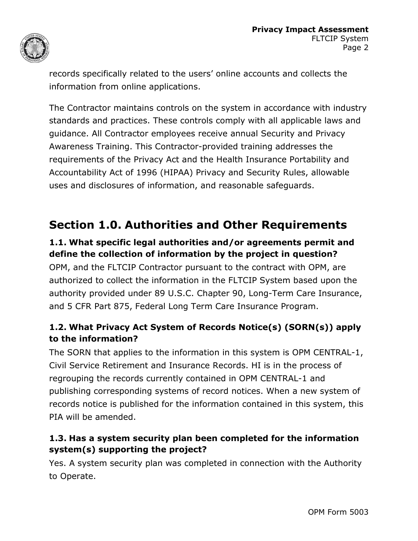

records specifically related to the users' online accounts and collects the information from online applications.

The Contractor maintains controls on the system in accordance with industry standards and practices. These controls comply with all applicable laws and guidance. All Contractor employees receive annual Security and Privacy Awareness Training. This Contractor-provided training addresses the requirements of the Privacy Act and the Health Insurance Portability and Accountability Act of 1996 (HIPAA) Privacy and Security Rules, allowable uses and disclosures of information, and reasonable safeguards.

### **Section 1.0. Authorities and Other Requirements**

#### **1.1. What specific legal authorities and/or agreements permit and define the collection of information by the project in question?**

OPM, and the FLTCIP Contractor pursuant to the contract with OPM, are authorized to collect the information in the FLTCIP System based upon the authority provided under 89 U.S.C. Chapter 90, Long-Term Care Insurance, and 5 CFR Part 875, Federal Long Term Care Insurance Program.

#### **1.2. What Privacy Act System of Records Notice(s) (SORN(s)) apply to the information?**

The SORN that applies to the information in this system is OPM CENTRAL-1, Civil Service Retirement and Insurance Records. HI is in the process of regrouping the records currently contained in OPM CENTRAL-1 and publishing corresponding systems of record notices. When a new system of records notice is published for the information contained in this system, this PIA will be amended.

#### **1.3. Has a system security plan been completed for the information system(s) supporting the project?**

Yes. A system security plan was completed in connection with the Authority to Operate.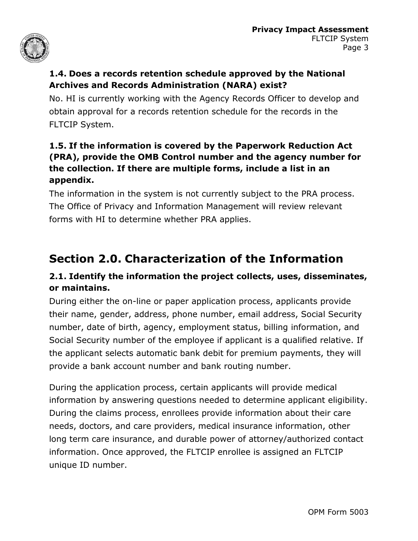

#### **1.4. Does a records retention schedule approved by the National Archives and Records Administration (NARA) exist?**

No. HI is currently working with the Agency Records Officer to develop and obtain approval for a records retention schedule for the records in the FLTCIP System.

#### **1.5. If the information is covered by the Paperwork Reduction Act (PRA), provide the OMB Control number and the agency number for the collection. If there are multiple forms, include a list in an appendix.**

The information in the system is not currently subject to the PRA process. The Office of Privacy and Information Management will review relevant forms with HI to determine whether PRA applies.

### **Section 2.0. Characterization of the Information**

#### **2.1. Identify the information the project collects, uses, disseminates, or maintains.**

During either the on-line or paper application process, applicants provide their name, gender, address, phone number, email address, Social Security number, date of birth, agency, employment status, billing information, and Social Security number of the employee if applicant is a qualified relative. If the applicant selects automatic bank debit for premium payments, they will provide a bank account number and bank routing number.

During the application process, certain applicants will provide medical information by answering questions needed to determine applicant eligibility. During the claims process, enrollees provide information about their care needs, doctors, and care providers, medical insurance information, other long term care insurance, and durable power of attorney/authorized contact information. Once approved, the FLTCIP enrollee is assigned an FLTCIP unique ID number.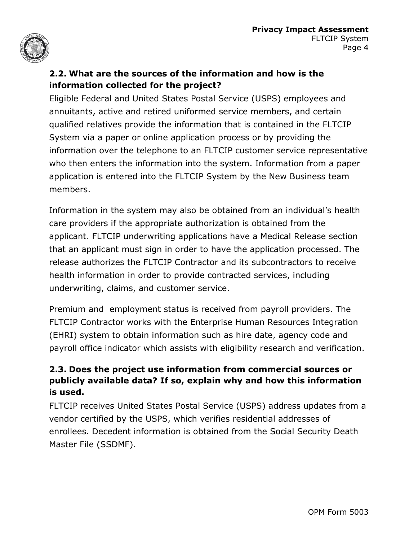

#### **2.2. What are the sources of the information and how is the information collected for the project?**

Eligible Federal and United States Postal Service (USPS) employees and annuitants, active and retired uniformed service members, and certain qualified relatives provide the information that is contained in the FLTCIP System via a paper or online application process or by providing the information over the telephone to an FLTCIP customer service representative who then enters the information into the system. Information from a paper application is entered into the FLTCIP System by the New Business team members.

Information in the system may also be obtained from an individual's health care providers if the appropriate authorization is obtained from the applicant. FLTCIP underwriting applications have a Medical Release section that an applicant must sign in order to have the application processed. The release authorizes the FLTCIP Contractor and its subcontractors to receive health information in order to provide contracted services, including underwriting, claims, and customer service.

Premium and employment status is received from payroll providers. The FLTCIP Contractor works with the Enterprise Human Resources Integration (EHRI) system to obtain information such as hire date, agency code and payroll office indicator which assists with eligibility research and verification.

#### **2.3. Does the project use information from commercial sources or publicly available data? If so, explain why and how this information is used.**

FLTCIP receives United States Postal Service (USPS) address updates from a vendor certified by the USPS, which verifies residential addresses of enrollees. Decedent information is obtained from the Social Security Death Master File (SSDMF).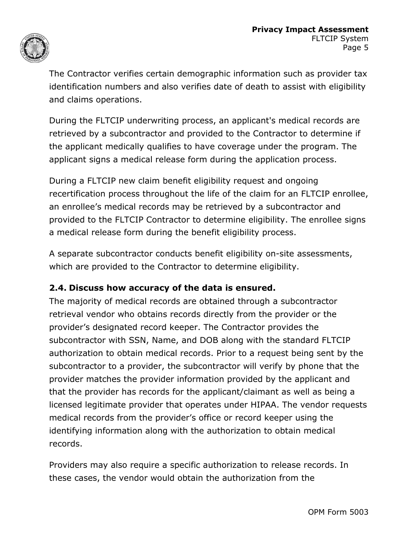

The Contractor verifies certain demographic information such as provider tax identification numbers and also verifies date of death to assist with eligibility and claims operations.

During the FLTCIP underwriting process, an applicant's medical records are retrieved by a subcontractor and provided to the Contractor to determine if the applicant medically qualifies to have coverage under the program. The applicant signs a medical release form during the application process.

During a FLTCIP new claim benefit eligibility request and ongoing recertification process throughout the life of the claim for an FLTCIP enrollee, an enrollee's medical records may be retrieved by a subcontractor and provided to the FLTCIP Contractor to determine eligibility. The enrollee signs a medical release form during the benefit eligibility process.

A separate subcontractor conducts benefit eligibility on-site assessments, which are provided to the Contractor to determine eligibility.

#### **2.4. Discuss how accuracy of the data is ensured.**

The majority of medical records are obtained through a subcontractor retrieval vendor who obtains records directly from the provider or the provider's designated record keeper. The Contractor provides the subcontractor with SSN, Name, and DOB along with the standard FLTCIP authorization to obtain medical records. Prior to a request being sent by the subcontractor to a provider, the subcontractor will verify by phone that the provider matches the provider information provided by the applicant and that the provider has records for the applicant/claimant as well as being a licensed legitimate provider that operates under HIPAA. The vendor requests medical records from the provider's office or record keeper using the identifying information along with the authorization to obtain medical records.

Providers may also require a specific authorization to release records. In these cases, the vendor would obtain the authorization from the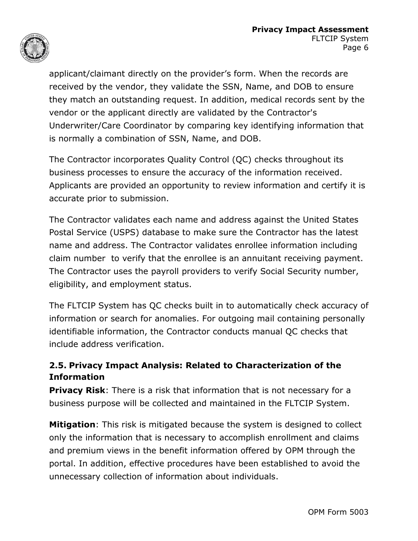

applicant/claimant directly on the provider's form. When the records are received by the vendor, they validate the SSN, Name, and DOB to ensure they match an outstanding request. In addition, medical records sent by the vendor or the applicant directly are validated by the Contractor's Underwriter/Care Coordinator by comparing key identifying information that is normally a combination of SSN, Name, and DOB.

The Contractor incorporates Quality Control (QC) checks throughout its business processes to ensure the accuracy of the information received. Applicants are provided an opportunity to review information and certify it is accurate prior to submission.

The Contractor validates each name and address against the United States Postal Service (USPS) database to make sure the Contractor has the latest name and address. The Contractor validates enrollee information including claim number to verify that the enrollee is an annuitant receiving payment. The Contractor uses the payroll providers to verify Social Security number, eligibility, and employment status.

The FLTCIP System has QC checks built in to automatically check accuracy of information or search for anomalies. For outgoing mail containing personally identifiable information, the Contractor conducts manual QC checks that include address verification.

#### **2.5. Privacy Impact Analysis: Related to Characterization of the Information**

**Privacy Risk:** There is a risk that information that is not necessary for a business purpose will be collected and maintained in the FLTCIP System.

**Mitigation**: This risk is mitigated because the system is designed to collect only the information that is necessary to accomplish enrollment and claims and premium views in the benefit information offered by OPM through the portal. In addition, effective procedures have been established to avoid the unnecessary collection of information about individuals.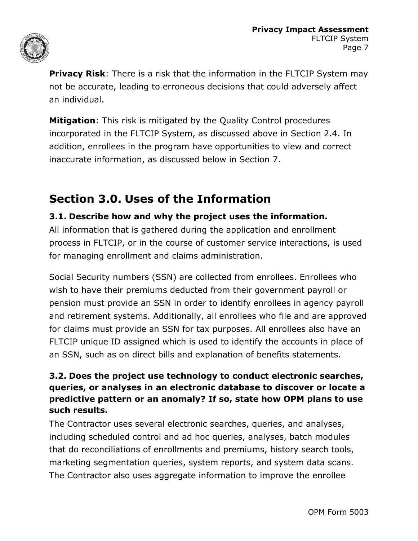

**Privacy Risk**: There is a risk that the information in the FLTCIP System may not be accurate, leading to erroneous decisions that could adversely affect an individual.

**Mitigation**: This risk is mitigated by the Quality Control procedures incorporated in the FLTCIP System, as discussed above in Section 2.4. In addition, enrollees in the program have opportunities to view and correct inaccurate information, as discussed below in Section 7.

### **Section 3.0. Uses of the Information**

#### **3.1. Describe how and why the project uses the information.**

All information that is gathered during the application and enrollment process in FLTCIP, or in the course of customer service interactions, is used for managing enrollment and claims administration.

Social Security numbers (SSN) are collected from enrollees. Enrollees who wish to have their premiums deducted from their government payroll or pension must provide an SSN in order to identify enrollees in agency payroll and retirement systems. Additionally, all enrollees who file and are approved for claims must provide an SSN for tax purposes. All enrollees also have an FLTCIP unique ID assigned which is used to identify the accounts in place of an SSN, such as on direct bills and explanation of benefits statements.

#### **3.2. Does the project use technology to conduct electronic searches, queries, or analyses in an electronic database to discover or locate a predictive pattern or an anomaly? If so, state how OPM plans to use such results.**

The Contractor uses several electronic searches, queries, and analyses, including scheduled control and ad hoc queries, analyses, batch modules that do reconciliations of enrollments and premiums, history search tools, marketing segmentation queries, system reports, and system data scans. The Contractor also uses aggregate information to improve the enrollee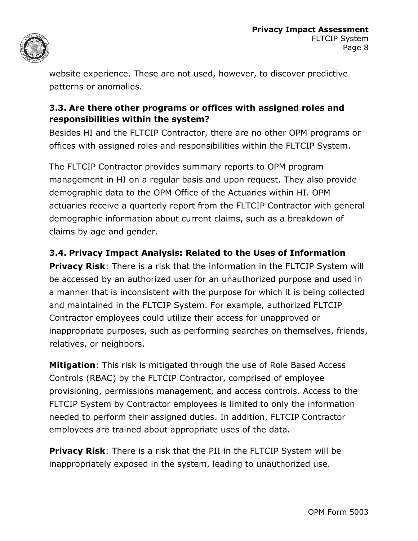

website experience. These are not used, however, to discover predictive patterns or anomalies.

#### **3.3. Are there other programs or offices with assigned roles and responsibilities within the system?**

Besides HI and the FLTCIP Contractor, there are no other OPM programs or offices with assigned roles and responsibilities within the FLTCIP System.

The FLTCIP Contractor provides summary reports to OPM program management in HI on a regular basis and upon request. They also provide demographic data to the OPM Office of the Actuaries within HI. OPM actuaries receive a quarterly report from the FLTCIP Contractor with general demographic information about current claims, such as a breakdown of claims by age and gender.

#### **3.4. Privacy Impact Analysis: Related to the Uses of Information**

**Privacy Risk**: There is a risk that the information in the FLTCIP System will be accessed by an authorized user for an unauthorized purpose and used in a manner that is inconsistent with the purpose for which it is being collected and maintained in the FLTCIP System. For example, authorized FLTCIP Contractor employees could utilize their access for unapproved or inappropriate purposes, such as performing searches on themselves, friends, relatives, or neighbors.

**Mitigation**: This risk is mitigated through the use of Role Based Access Controls (RBAC) by the FLTCIP Contractor, comprised of employee provisioning, permissions management, and access controls. Access to the FLTCIP System by Contractor employees is limited to only the information needed to perform their assigned duties. In addition, FLTCIP Contractor employees are trained about appropriate uses of the data.

**Privacy Risk**: There is a risk that the PII in the FLTCIP System will be inappropriately exposed in the system, leading to unauthorized use.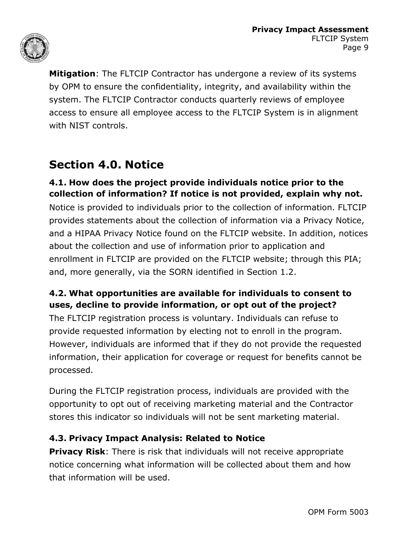

**Mitigation**: The FLTCIP Contractor has undergone a review of its systems by OPM to ensure the confidentiality, integrity, and availability within the system. The FLTCIP Contractor conducts quarterly reviews of employee access to ensure all employee access to the FLTCIP System is in alignment with NIST controls.

### **Section 4.0. Notice**

#### **4.1. How does the project provide individuals notice prior to the collection of information? If notice is not provided, explain why not.**

Notice is provided to individuals prior to the collection of information. FLTCIP provides statements about the collection of information via a Privacy Notice, and a HIPAA Privacy Notice found on the FLTCIP website. In addition, notices about the collection and use of information prior to application and enrollment in FLTCIP are provided on the FLTCIP website; through this PIA; and, more generally, via the SORN identified in Section 1.2.

#### **4.2. What opportunities are available for individuals to consent to uses, decline to provide information, or opt out of the project?**

The FLTCIP registration process is voluntary. Individuals can refuse to provide requested information by electing not to enroll in the program. However, individuals are informed that if they do not provide the requested information, their application for coverage or request for benefits cannot be processed.

During the FLTCIP registration process, individuals are provided with the opportunity to opt out of receiving marketing material and the Contractor stores this indicator so individuals will not be sent marketing material.

#### **4.3. Privacy Impact Analysis: Related to Notice**

**Privacy Risk:** There is risk that individuals will not receive appropriate notice concerning what information will be collected about them and how that information will be used.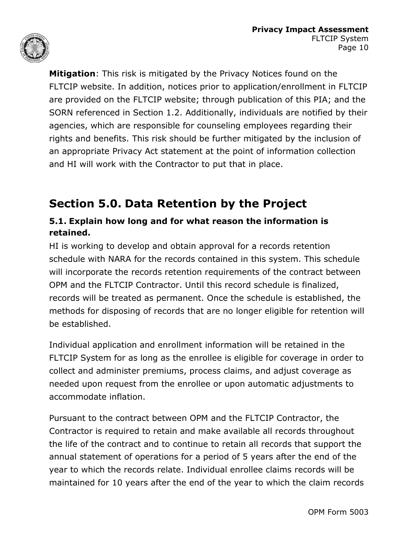

**Mitigation**: This risk is mitigated by the Privacy Notices found on the FLTCIP website. In addition, notices prior to application/enrollment in FLTCIP are provided on the FLTCIP website; through publication of this PIA; and the SORN referenced in Section 1.2. Additionally, individuals are notified by their agencies, which are responsible for counseling employees regarding their rights and benefits. This risk should be further mitigated by the inclusion of an appropriate Privacy Act statement at the point of information collection and HI will work with the Contractor to put that in place.

### **Section 5.0. Data Retention by the Project**

#### **5.1. Explain how long and for what reason the information is retained.**

HI is working to develop and obtain approval for a records retention schedule with NARA for the records contained in this system. This schedule will incorporate the records retention requirements of the contract between OPM and the FLTCIP Contractor. Until this record schedule is finalized, records will be treated as permanent. Once the schedule is established, the methods for disposing of records that are no longer eligible for retention will be established.

Individual application and enrollment information will be retained in the FLTCIP System for as long as the enrollee is eligible for coverage in order to collect and administer premiums, process claims, and adjust coverage as needed upon request from the enrollee or upon automatic adjustments to accommodate inflation.

Pursuant to the contract between OPM and the FLTCIP Contractor, the Contractor is required to retain and make available all records throughout the life of the contract and to continue to retain all records that support the annual statement of operations for a period of 5 years after the end of the year to which the records relate. Individual enrollee claims records will be maintained for 10 years after the end of the year to which the claim records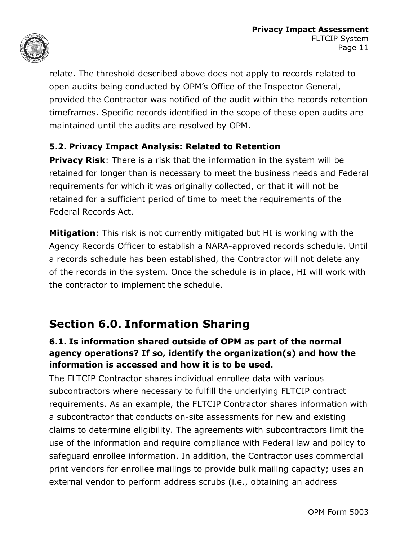

relate. The threshold described above does not apply to records related to open audits being conducted by OPM's Office of the Inspector General, provided the Contractor was notified of the audit within the records retention timeframes. Specific records identified in the scope of these open audits are maintained until the audits are resolved by OPM.

#### **5.2. Privacy Impact Analysis: Related to Retention**

**Privacy Risk**: There is a risk that the information in the system will be retained for longer than is necessary to meet the business needs and Federal requirements for which it was originally collected, or that it will not be retained for a sufficient period of time to meet the requirements of the Federal Records Act.

**Mitigation**: This risk is not currently mitigated but HI is working with the Agency Records Officer to establish a NARA-approved records schedule. Until a records schedule has been established, the Contractor will not delete any of the records in the system. Once the schedule is in place, HI will work with the contractor to implement the schedule.

### **Section 6.0. Information Sharing**

#### **6.1. Is information shared outside of OPM as part of the normal agency operations? If so, identify the organization(s) and how the information is accessed and how it is to be used.**

The FLTCIP Contractor shares individual enrollee data with various subcontractors where necessary to fulfill the underlying FLTCIP contract requirements. As an example, the FLTCIP Contractor shares information with a subcontractor that conducts on-site assessments for new and existing claims to determine eligibility. The agreements with subcontractors limit the use of the information and require compliance with Federal law and policy to safeguard enrollee information. In addition, the Contractor uses commercial print vendors for enrollee mailings to provide bulk mailing capacity; uses an external vendor to perform address scrubs (i.e., obtaining an address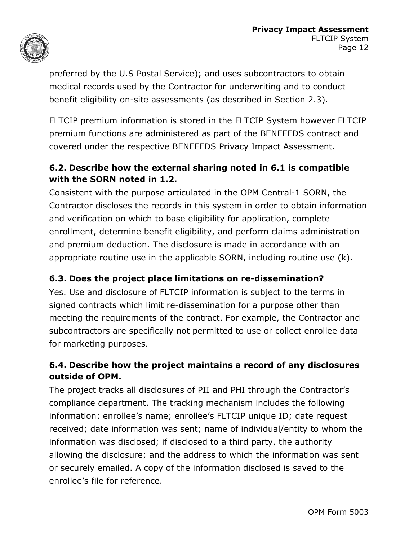

preferred by the U.S Postal Service); and uses subcontractors to obtain medical records used by the Contractor for underwriting and to conduct benefit eligibility on-site assessments (as described in Section 2.3).

FLTCIP premium information is stored in the FLTCIP System however FLTCIP premium functions are administered as part of the BENEFEDS contract and covered under the respective BENEFEDS Privacy Impact Assessment.

#### **6.2. Describe how the external sharing noted in 6.1 is compatible with the SORN noted in 1.2.**

Consistent with the purpose articulated in the OPM Central-1 SORN, the Contractor discloses the records in this system in order to obtain information and verification on which to base eligibility for application, complete enrollment, determine benefit eligibility, and perform claims administration and premium deduction. The disclosure is made in accordance with an appropriate routine use in the applicable SORN, including routine use (k).

#### **6.3. Does the project place limitations on re-dissemination?**

Yes. Use and disclosure of FLTCIP information is subject to the terms in signed contracts which limit re-dissemination for a purpose other than meeting the requirements of the contract. For example, the Contractor and subcontractors are specifically not permitted to use or collect enrollee data for marketing purposes.

#### **6.4. Describe how the project maintains a record of any disclosures outside of OPM.**

The project tracks all disclosures of PII and PHI through the Contractor's compliance department. The tracking mechanism includes the following information: enrollee's name; enrollee's FLTCIP unique ID; date request received; date information was sent; name of individual/entity to whom the information was disclosed; if disclosed to a third party, the authority allowing the disclosure; and the address to which the information was sent or securely emailed. A copy of the information disclosed is saved to the enrollee's file for reference.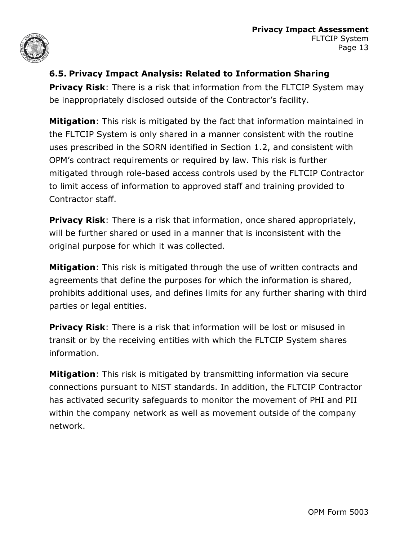

#### **6.5. Privacy Impact Analysis: Related to Information Sharing**

**Privacy Risk:** There is a risk that information from the FLTCIP System may be inappropriately disclosed outside of the Contractor's facility.

**Mitigation**: This risk is mitigated by the fact that information maintained in the FLTCIP System is only shared in a manner consistent with the routine uses prescribed in the SORN identified in Section 1.2, and consistent with OPM's contract requirements or required by law. This risk is further mitigated through role-based access controls used by the FLTCIP Contractor to limit access of information to approved staff and training provided to Contractor staff.

**Privacy Risk**: There is a risk that information, once shared appropriately, will be further shared or used in a manner that is inconsistent with the original purpose for which it was collected.

**Mitigation**: This risk is mitigated through the use of written contracts and agreements that define the purposes for which the information is shared, prohibits additional uses, and defines limits for any further sharing with third parties or legal entities.

**Privacy Risk**: There is a risk that information will be lost or misused in transit or by the receiving entities with which the FLTCIP System shares information.

**Mitigation**: This risk is mitigated by transmitting information via secure connections pursuant to NIST standards. In addition, the FLTCIP Contractor has activated security safeguards to monitor the movement of PHI and PII within the company network as well as movement outside of the company network.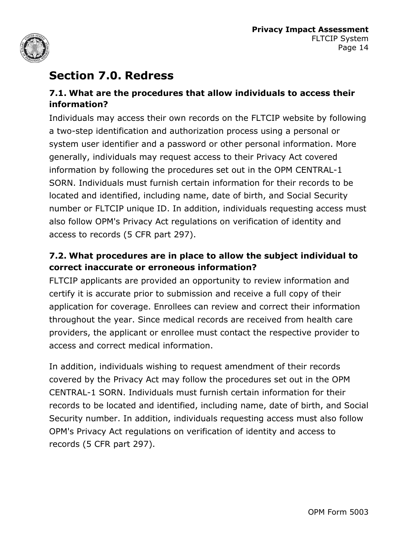

### **Section 7.0. Redress**

#### **7.1. What are the procedures that allow individuals to access their information?**

Individuals may access their own records on the FLTCIP website by following a two-step identification and authorization process using a personal or system user identifier and a password or other personal information. More generally, individuals may request access to their Privacy Act covered information by following the procedures set out in the OPM CENTRAL-1 SORN. Individuals must furnish certain information for their records to be located and identified, including name, date of birth, and Social Security number or FLTCIP unique ID. In addition, individuals requesting access must also follow OPM's Privacy Act regulations on verification of identity and access to records (5 CFR part 297).

#### **7.2. What procedures are in place to allow the subject individual to correct inaccurate or erroneous information?**

FLTCIP applicants are provided an opportunity to review information and certify it is accurate prior to submission and receive a full copy of their application for coverage. Enrollees can review and correct their information throughout the year. Since medical records are received from health care providers, the applicant or enrollee must contact the respective provider to access and correct medical information.

In addition, individuals wishing to request amendment of their records covered by the Privacy Act may follow the procedures set out in the OPM CENTRAL-1 SORN. Individuals must furnish certain information for their records to be located and identified, including name, date of birth, and Social Security number. In addition, individuals requesting access must also follow OPM's Privacy Act regulations on verification of identity and access to records (5 CFR part 297).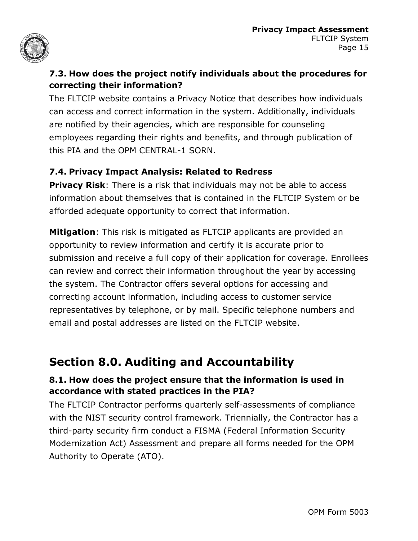

#### **7.3. How does the project notify individuals about the procedures for correcting their information?**

The FLTCIP website contains a Privacy Notice that describes how individuals can access and correct information in the system. Additionally, individuals are notified by their agencies, which are responsible for counseling employees regarding their rights and benefits, and through publication of this PIA and the OPM CENTRAL-1 SORN.

#### **7.4. Privacy Impact Analysis: Related to Redress**

**Privacy Risk:** There is a risk that individuals may not be able to access information about themselves that is contained in the FLTCIP System or be afforded adequate opportunity to correct that information.

**Mitigation**: This risk is mitigated as FLTCIP applicants are provided an opportunity to review information and certify it is accurate prior to submission and receive a full copy of their application for coverage. Enrollees can review and correct their information throughout the year by accessing the system. The Contractor offers several options for accessing and correcting account information, including access to customer service representatives by telephone, or by mail. Specific telephone numbers and email and postal addresses are listed on the FLTCIP website.

### **Section 8.0. Auditing and Accountability**

#### **8.1. How does the project ensure that the information is used in accordance with stated practices in the PIA?**

The FLTCIP Contractor performs quarterly self-assessments of compliance with the NIST security control framework. Triennially, the Contractor has a third-party security firm conduct a FISMA (Federal Information Security Modernization Act) Assessment and prepare all forms needed for the OPM Authority to Operate (ATO).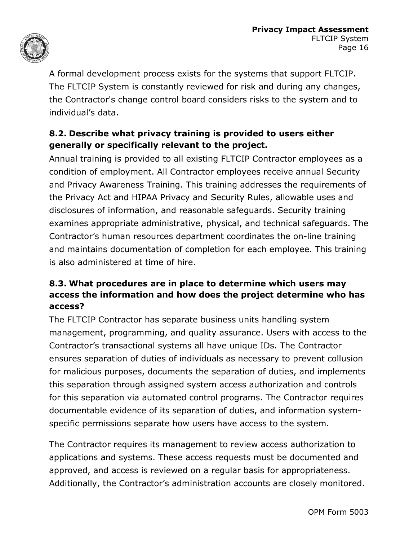

A formal development process exists for the systems that support FLTCIP. The FLTCIP System is constantly reviewed for risk and during any changes, the Contractor's change control board considers risks to the system and to individual's data.

#### **8.2. Describe what privacy training is provided to users either generally or specifically relevant to the project.**

Annual training is provided to all existing FLTCIP Contractor employees as a condition of employment. All Contractor employees receive annual Security and Privacy Awareness Training. This training addresses the requirements of the Privacy Act and HIPAA Privacy and Security Rules, allowable uses and disclosures of information, and reasonable safeguards. Security training examines appropriate administrative, physical, and technical safeguards. The Contractor's human resources department coordinates the on-line training and maintains documentation of completion for each employee. This training is also administered at time of hire.

#### **8.3. What procedures are in place to determine which users may access the information and how does the project determine who has access?**

The FLTCIP Contractor has separate business units handling system management, programming, and quality assurance. Users with access to the Contractor's transactional systems all have unique IDs. The Contractor ensures separation of duties of individuals as necessary to prevent collusion for malicious purposes, documents the separation of duties, and implements this separation through assigned system access authorization and controls for this separation via automated control programs. The Contractor requires documentable evidence of its separation of duties, and information systemspecific permissions separate how users have access to the system.

The Contractor requires its management to review access authorization to applications and systems. These access requests must be documented and approved, and access is reviewed on a regular basis for appropriateness. Additionally, the Contractor's administration accounts are closely monitored.